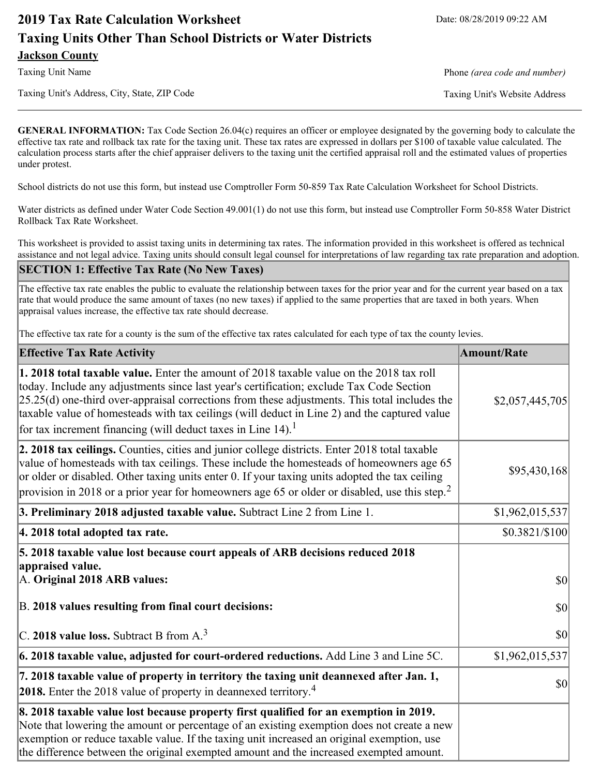# **2019 Tax Rate Calculation Worksheet** Date: 08/28/2019 09:22 AM **Taxing Units Other Than School Districts or Water Districts Jackson County**

Taxing Unit Name **Phone** *(area code and number)* Phone *(area code and number)* 

Taxing Unit's Address, City, State, ZIP Code Taxing Unit's Website Address

**GENERAL INFORMATION:** Tax Code Section 26.04(c) requires an officer or employee designated by the governing body to calculate the effective tax rate and rollback tax rate for the taxing unit. These tax rates are expressed in dollars per \$100 of taxable value calculated. The calculation process starts after the chief appraiser delivers to the taxing unit the certified appraisal roll and the estimated values of properties under protest.

School districts do not use this form, but instead use Comptroller Form 50-859 Tax Rate Calculation Worksheet for School Districts.

Water districts as defined under Water Code Section 49.001(1) do not use this form, but instead use Comptroller Form 50-858 Water District Rollback Tax Rate Worksheet.

This worksheet is provided to assist taxing units in determining tax rates. The information provided in this worksheet is offered as technical assistance and not legal advice. Taxing units should consult legal counsel for interpretations of law regarding tax rate preparation and adoption.

### **SECTION 1: Effective Tax Rate (No New Taxes)**

The effective tax rate enables the public to evaluate the relationship between taxes for the prior year and for the current year based on a tax rate that would produce the same amount of taxes (no new taxes) if applied to the same properties that are taxed in both years. When appraisal values increase, the effective tax rate should decrease.

The effective tax rate for a county is the sum of the effective tax rates calculated for each type of tax the county levies.

| <b>Effective Tax Rate Activity</b>                                                                                                                                                                                                                                                                                                                                                                                                                                             | <b>Amount/Rate</b> |
|--------------------------------------------------------------------------------------------------------------------------------------------------------------------------------------------------------------------------------------------------------------------------------------------------------------------------------------------------------------------------------------------------------------------------------------------------------------------------------|--------------------|
| <b>1. 2018 total taxable value.</b> Enter the amount of 2018 taxable value on the 2018 tax roll<br>today. Include any adjustments since last year's certification; exclude Tax Code Section<br>$[25.25(d)$ one-third over-appraisal corrections from these adjustments. This total includes the<br>taxable value of homesteads with tax ceilings (will deduct in Line 2) and the captured value<br>for tax increment financing (will deduct taxes in Line $14$ ). <sup>1</sup> | \$2,057,445,705    |
| 2. 2018 tax ceilings. Counties, cities and junior college districts. Enter 2018 total taxable<br>value of homesteads with tax ceilings. These include the homesteads of homeowners age 65<br>or older or disabled. Other taxing units enter 0. If your taxing units adopted the tax ceiling<br>provision in 2018 or a prior year for homeowners age 65 or older or disabled, use this step. <sup>2</sup>                                                                       | \$95,430,168       |
| 3. Preliminary 2018 adjusted taxable value. Subtract Line 2 from Line 1.                                                                                                                                                                                                                                                                                                                                                                                                       | \$1,962,015,537    |
| 4. 2018 total adopted tax rate.                                                                                                                                                                                                                                                                                                                                                                                                                                                | \$0.3821/\$100     |
| 5. 2018 taxable value lost because court appeals of ARB decisions reduced 2018<br>appraised value.<br>A. Original 2018 ARB values:                                                                                                                                                                                                                                                                                                                                             | <b>\$0</b>         |
| B. 2018 values resulting from final court decisions:                                                                                                                                                                                                                                                                                                                                                                                                                           | $ 10\rangle$       |
| C. 2018 value loss. Subtract B from A. <sup>3</sup>                                                                                                                                                                                                                                                                                                                                                                                                                            | \$0                |
| 6. 2018 taxable value, adjusted for court-ordered reductions. Add Line 3 and Line 5C.                                                                                                                                                                                                                                                                                                                                                                                          | \$1,962,015,537    |
| 7. 2018 taxable value of property in territory the taxing unit deannexed after Jan. 1,<br><b>2018.</b> Enter the 2018 value of property in deannexed territory. <sup>4</sup>                                                                                                                                                                                                                                                                                                   | $ 10\rangle$       |
| 8. 2018 taxable value lost because property first qualified for an exemption in 2019.<br>Note that lowering the amount or percentage of an existing exemption does not create a new<br>exemption or reduce taxable value. If the taxing unit increased an original exemption, use<br>the difference between the original exempted amount and the increased exempted amount.                                                                                                    |                    |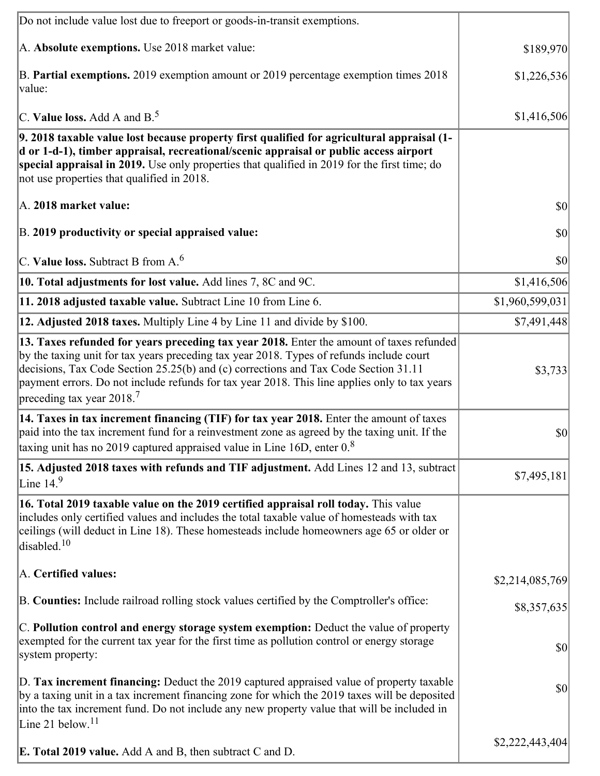| Do not include value lost due to freeport or goods-in-transit exemptions.                                                                                                                                                                                                                                                                                                                                              |                 |
|------------------------------------------------------------------------------------------------------------------------------------------------------------------------------------------------------------------------------------------------------------------------------------------------------------------------------------------------------------------------------------------------------------------------|-----------------|
| A. Absolute exemptions. Use 2018 market value:                                                                                                                                                                                                                                                                                                                                                                         | \$189,970       |
| B. Partial exemptions. 2019 exemption amount or 2019 percentage exemption times 2018<br>value:                                                                                                                                                                                                                                                                                                                         | \$1,226,536     |
| C. Value loss. Add A and $B^5$ .                                                                                                                                                                                                                                                                                                                                                                                       | \$1,416,506     |
| 9. 2018 taxable value lost because property first qualified for agricultural appraisal (1-<br>d or 1-d-1), timber appraisal, recreational/scenic appraisal or public access airport<br>special appraisal in 2019. Use only properties that qualified in 2019 for the first time; do<br>not use properties that qualified in 2018.                                                                                      |                 |
| A. 2018 market value:                                                                                                                                                                                                                                                                                                                                                                                                  | $ 10\rangle$    |
| B. 2019 productivity or special appraised value:                                                                                                                                                                                                                                                                                                                                                                       | \$0             |
| C. Value loss. Subtract B from $A6$                                                                                                                                                                                                                                                                                                                                                                                    | \$0             |
| 10. Total adjustments for lost value. Add lines 7, 8C and 9C.                                                                                                                                                                                                                                                                                                                                                          | \$1,416,506     |
| 11. 2018 adjusted taxable value. Subtract Line 10 from Line 6.                                                                                                                                                                                                                                                                                                                                                         | \$1,960,599,031 |
| 12. Adjusted 2018 taxes. Multiply Line 4 by Line 11 and divide by \$100.                                                                                                                                                                                                                                                                                                                                               | \$7,491,448     |
| 13. Taxes refunded for years preceding tax year 2018. Enter the amount of taxes refunded<br>by the taxing unit for tax years preceding tax year 2018. Types of refunds include court<br>decisions, Tax Code Section 25.25(b) and (c) corrections and Tax Code Section 31.11<br>payment errors. Do not include refunds for tax year 2018. This line applies only to tax years<br>preceding tax year $2018$ <sup>7</sup> | \$3,733         |
| 14. Taxes in tax increment financing (TIF) for tax year 2018. Enter the amount of taxes<br>paid into the tax increment fund for a reinvestment zone as agreed by the taxing unit. If the<br>taxing unit has no 2019 captured appraised value in Line 16D, enter 0.8                                                                                                                                                    | $ 10\rangle$    |
| 15. Adjusted 2018 taxes with refunds and TIF adjustment. Add Lines 12 and 13, subtract<br>Line $14.9$                                                                                                                                                                                                                                                                                                                  | \$7,495,181     |
| 16. Total 2019 taxable value on the 2019 certified appraisal roll today. This value<br>includes only certified values and includes the total taxable value of homesteads with tax<br>ceilings (will deduct in Line 18). These homesteads include homeowners age 65 or older or<br>disabled. <sup>10</sup>                                                                                                              |                 |
| A. Certified values:                                                                                                                                                                                                                                                                                                                                                                                                   | \$2,214,085,769 |
| B. Counties: Include railroad rolling stock values certified by the Comptroller's office:                                                                                                                                                                                                                                                                                                                              | \$8,357,635     |
| C. Pollution control and energy storage system exemption: Deduct the value of property<br>exempted for the current tax year for the first time as pollution control or energy storage<br>system property:                                                                                                                                                                                                              | $ 10\rangle$    |
| D. Tax increment financing: Deduct the 2019 captured appraised value of property taxable<br>by a taxing unit in a tax increment financing zone for which the 2019 taxes will be deposited<br>into the tax increment fund. Do not include any new property value that will be included in<br>Line 21 below. $11$                                                                                                        | \$0             |
| <b>E. Total 2019 value.</b> Add A and B, then subtract C and D.                                                                                                                                                                                                                                                                                                                                                        | \$2,222,443,404 |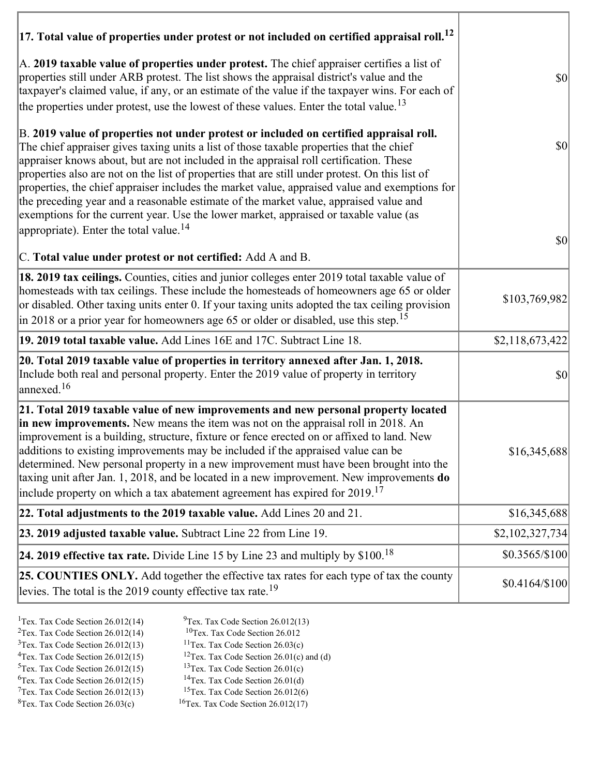| $ 17$ . Total value of properties under protest or not included on certified appraisal roll. <sup>12</sup>                                                                                                                                                                                                                                                                                                                                                                                                                                                                                                                                                                                                               |                                     |
|--------------------------------------------------------------------------------------------------------------------------------------------------------------------------------------------------------------------------------------------------------------------------------------------------------------------------------------------------------------------------------------------------------------------------------------------------------------------------------------------------------------------------------------------------------------------------------------------------------------------------------------------------------------------------------------------------------------------------|-------------------------------------|
| A. 2019 taxable value of properties under protest. The chief appraiser certifies a list of<br>properties still under ARB protest. The list shows the appraisal district's value and the<br>taxpayer's claimed value, if any, or an estimate of the value if the taxpayer wins. For each of<br>the properties under protest, use the lowest of these values. Enter the total value. <sup>13</sup>                                                                                                                                                                                                                                                                                                                         | $ 10\rangle$                        |
| B. 2019 value of properties not under protest or included on certified appraisal roll.<br>The chief appraiser gives taxing units a list of those taxable properties that the chief<br>appraiser knows about, but are not included in the appraisal roll certification. These<br>properties also are not on the list of properties that are still under protest. On this list of<br>properties, the chief appraiser includes the market value, appraised value and exemptions for<br>the preceding year and a reasonable estimate of the market value, appraised value and<br>exemptions for the current year. Use the lower market, appraised or taxable value (as<br>appropriate). Enter the total value. <sup>14</sup> | $ 10\rangle$                        |
| C. Total value under protest or not certified: Add A and B.                                                                                                                                                                                                                                                                                                                                                                                                                                                                                                                                                                                                                                                              | $\vert \mathbf{S} \mathbf{0} \vert$ |
| 18. 2019 tax ceilings. Counties, cities and junior colleges enter 2019 total taxable value of                                                                                                                                                                                                                                                                                                                                                                                                                                                                                                                                                                                                                            |                                     |
| homesteads with tax ceilings. These include the homesteads of homeowners age 65 or older<br>or disabled. Other taxing units enter 0. If your taxing units adopted the tax ceiling provision<br>in 2018 or a prior year for homeowners age 65 or older or disabled, use this step. <sup>15</sup>                                                                                                                                                                                                                                                                                                                                                                                                                          | \$103,769,982                       |
| 19. 2019 total taxable value. Add Lines 16E and 17C. Subtract Line 18.                                                                                                                                                                                                                                                                                                                                                                                                                                                                                                                                                                                                                                                   | \$2,118,673,422                     |
|                                                                                                                                                                                                                                                                                                                                                                                                                                                                                                                                                                                                                                                                                                                          |                                     |
| 20. Total 2019 taxable value of properties in territory annexed after Jan. 1, 2018.<br>Include both real and personal property. Enter the 2019 value of property in territory<br>annexed. <sup>16</sup>                                                                                                                                                                                                                                                                                                                                                                                                                                                                                                                  | <b>\$0</b>                          |
| 21. Total 2019 taxable value of new improvements and new personal property located<br>in new improvements. New means the item was not on the appraisal roll in 2018. An<br>improvement is a building, structure, fixture or fence erected on or affixed to land. New<br>additions to existing improvements may be included if the appraised value can be<br>determined. New personal property in a new improvement must have been brought into the<br>taxing unit after Jan. 1, 2018, and be located in a new improvement. New improvements do<br>include property on which a tax abatement agreement has expired for $2019$ <sup>17</sup>                                                                               | \$16,345,688                        |
| 22. Total adjustments to the 2019 taxable value. Add Lines 20 and 21.                                                                                                                                                                                                                                                                                                                                                                                                                                                                                                                                                                                                                                                    | \$16,345,688                        |
| 23. 2019 adjusted taxable value. Subtract Line 22 from Line 19.                                                                                                                                                                                                                                                                                                                                                                                                                                                                                                                                                                                                                                                          | \$2,102,327,734                     |
| 24. 2019 effective tax rate. Divide Line 15 by Line 23 and multiply by $$100$ . <sup>18</sup>                                                                                                                                                                                                                                                                                                                                                                                                                                                                                                                                                                                                                            | \$0.3565/\$100                      |
| 25. COUNTIES ONLY. Add together the effective tax rates for each type of tax the county<br>levies. The total is the 2019 county effective tax rate. <sup>19</sup>                                                                                                                                                                                                                                                                                                                                                                                                                                                                                                                                                        | $$0.4164/\$100$                     |

- 
- <sup>1</sup>Tex. Tax Code Section 26.012(14) <sup>9</sup>Tex. Tax Code Section 26.012(13) <sup>9</sup>Tex. Tax Code Section 26.012
- <sup>2</sup>Tex. Tax Code Section 26.012(14) <sup>10</sup>Tex. Tax Code Section 26.012<br><sup>3</sup>Tex. Tax Code Section 26.03(c) <sup>11</sup>Tex. Tax Code Section 26.03(c)
	- <sup>12</sup>Tex. Tax Code Section 26.01(c) and (d) <sup>13</sup>Tex. Tax Code Section 26.01(c)
- ${}^{3}$ Tex. Tax Code Section 26.012(13)<br> ${}^{4}$ Tex. Tax Code Section 26.012(15)
- <sup>5</sup>Tex. Tax Code Section 26.012(15) <sup>13</sup>Tex. Tax Code Section 26.01(c)<br><sup>6</sup>Tex. Tax Code Section 26.012(15) <sup>14</sup>Tex. Tax Code Section 26.01(d)
	-
- <sup>6</sup>Tex. Tax Code Section 26.012(15) <sup>14</sup>Tex. Tax Code Section 26.01(d)<br><sup>7</sup>Tex. Tax Code Section 26.012(13) <sup>15</sup>Tex. Tax Code Section 26.012(6)
- $7$ Tex. Tax Code Section 26.012(13)<br><sup>8</sup>Tex. Tax Code Section 26.03(c)
- 
- $16$ Tex. Tax Code Section 26.012(17)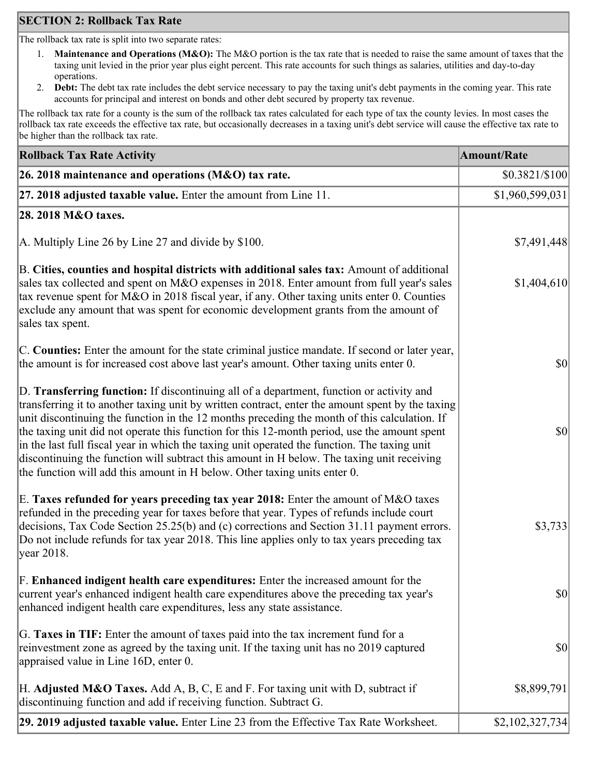## **SECTION 2: Rollback Tax Rate**

The rollback tax rate is split into two separate rates:

- 1. **Maintenance and Operations (M&O):** The M&O portion is the tax rate that is needed to raise the same amount of taxes that the taxing unit levied in the prior year plus eight percent. This rate accounts for such things as salaries, utilities and day-to-day operations.
- 2. **Debt:** The debt tax rate includes the debt service necessary to pay the taxing unit's debt payments in the coming year. This rate accounts for principal and interest on bonds and other debt secured by property tax revenue.

The rollback tax rate for a county is the sum of the rollback tax rates calculated for each type of tax the county levies. In most cases the rollback tax rate exceeds the effective tax rate, but occasionally decreases in a taxing unit's debt service will cause the effective tax rate to be higher than the rollback tax rate.

| <b>Rollback Tax Rate Activity</b>                                                                                                                                                                                                                                                                                                                                                                                                                                                                                                                                                                                                                                       | <b>Amount/Rate</b>                  |
|-------------------------------------------------------------------------------------------------------------------------------------------------------------------------------------------------------------------------------------------------------------------------------------------------------------------------------------------------------------------------------------------------------------------------------------------------------------------------------------------------------------------------------------------------------------------------------------------------------------------------------------------------------------------------|-------------------------------------|
| 26. 2018 maintenance and operations ( $M&O$ ) tax rate.                                                                                                                                                                                                                                                                                                                                                                                                                                                                                                                                                                                                                 | $$0.3821/\$100$                     |
| 27. 2018 adjusted taxable value. Enter the amount from Line 11.                                                                                                                                                                                                                                                                                                                                                                                                                                                                                                                                                                                                         | \$1,960,599,031                     |
| 28. 2018 M&O taxes.                                                                                                                                                                                                                                                                                                                                                                                                                                                                                                                                                                                                                                                     |                                     |
| A. Multiply Line 26 by Line 27 and divide by \$100.                                                                                                                                                                                                                                                                                                                                                                                                                                                                                                                                                                                                                     | \$7,491,448                         |
| B. Cities, counties and hospital districts with additional sales tax: Amount of additional<br>sales tax collected and spent on M&O expenses in 2018. Enter amount from full year's sales<br>tax revenue spent for M&O in 2018 fiscal year, if any. Other taxing units enter 0. Counties<br>exclude any amount that was spent for economic development grants from the amount of<br>sales tax spent.                                                                                                                                                                                                                                                                     | \$1,404,610                         |
| C. Counties: Enter the amount for the state criminal justice mandate. If second or later year,<br>the amount is for increased cost above last year's amount. Other taxing units enter 0.                                                                                                                                                                                                                                                                                                                                                                                                                                                                                | $ 10\rangle$                        |
| D. Transferring function: If discontinuing all of a department, function or activity and<br>transferring it to another taxing unit by written contract, enter the amount spent by the taxing<br>unit discontinuing the function in the 12 months preceding the month of this calculation. If<br>the taxing unit did not operate this function for this 12-month period, use the amount spent<br>in the last full fiscal year in which the taxing unit operated the function. The taxing unit<br>discontinuing the function will subtract this amount in H below. The taxing unit receiving<br>the function will add this amount in H below. Other taxing units enter 0. | $ 10\rangle$                        |
| E. Taxes refunded for years preceding tax year 2018: Enter the amount of M&O taxes<br>refunded in the preceding year for taxes before that year. Types of refunds include court<br>decisions, Tax Code Section 25.25(b) and (c) corrections and Section 31.11 payment errors.<br>Do not include refunds for tax year 2018. This line applies only to tax years preceding tax<br> year 2018.                                                                                                                                                                                                                                                                             | \$3,733                             |
| F. Enhanced indigent health care expenditures: Enter the increased amount for the<br>current year's enhanced indigent health care expenditures above the preceding tax year's<br>enhanced indigent health care expenditures, less any state assistance.                                                                                                                                                                                                                                                                                                                                                                                                                 | $\vert \mathbf{S} \mathbf{0} \vert$ |
| G. Taxes in TIF: Enter the amount of taxes paid into the tax increment fund for a<br>reinvestment zone as agreed by the taxing unit. If the taxing unit has no 2019 captured<br>appraised value in Line 16D, enter 0.                                                                                                                                                                                                                                                                                                                                                                                                                                                   | $ 10\rangle$                        |
| H. Adjusted M&O Taxes. Add A, B, C, E and F. For taxing unit with D, subtract if<br>discontinuing function and add if receiving function. Subtract G.                                                                                                                                                                                                                                                                                                                                                                                                                                                                                                                   | \$8,899,791                         |
| 29. 2019 adjusted taxable value. Enter Line 23 from the Effective Tax Rate Worksheet.                                                                                                                                                                                                                                                                                                                                                                                                                                                                                                                                                                                   | \$2,102,327,734                     |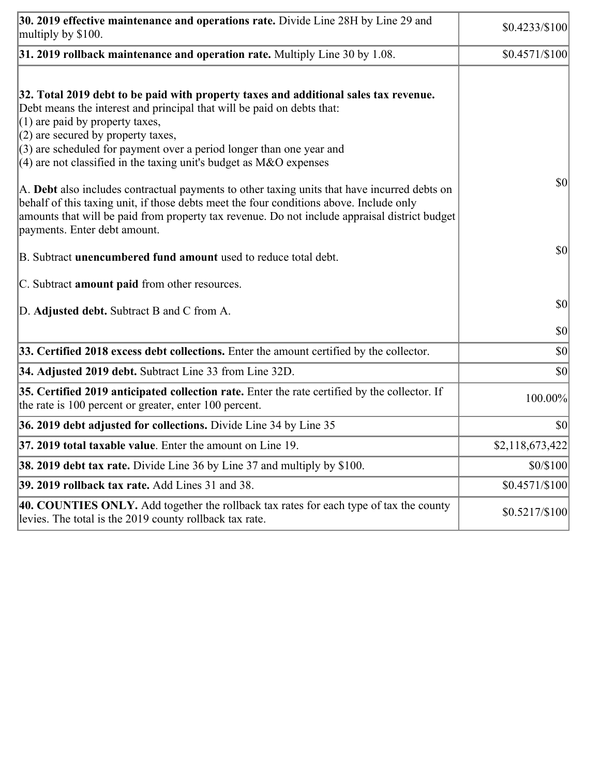| 30. 2019 effective maintenance and operations rate. Divide Line 28H by Line 29 and<br>multiply by \$100.                                                                                                                                                                                                                                                                                      | $$0.4233/\$100$ |
|-----------------------------------------------------------------------------------------------------------------------------------------------------------------------------------------------------------------------------------------------------------------------------------------------------------------------------------------------------------------------------------------------|-----------------|
| $31.2019$ rollback maintenance and operation rate. Multiply Line 30 by 1.08.                                                                                                                                                                                                                                                                                                                  | $$0.4571/\$100$ |
| 32. Total 2019 debt to be paid with property taxes and additional sales tax revenue.<br>Debt means the interest and principal that will be paid on debts that:<br>$(1)$ are paid by property taxes,<br>$(2)$ are secured by property taxes,<br>$(3)$ are scheduled for payment over a period longer than one year and<br>$(4)$ are not classified in the taxing unit's budget as M&O expenses |                 |
| A. Debt also includes contractual payments to other taxing units that have incurred debts on<br>behalf of this taxing unit, if those debts meet the four conditions above. Include only<br>amounts that will be paid from property tax revenue. Do not include appraisal district budget<br>payments. Enter debt amount.                                                                      | $ 10\rangle$    |
| B. Subtract <b>unencumbered fund amount</b> used to reduce total debt.                                                                                                                                                                                                                                                                                                                        | $ 10\rangle$    |
| C. Subtract <b>amount paid</b> from other resources.                                                                                                                                                                                                                                                                                                                                          |                 |
| D. Adjusted debt. Subtract B and C from A.                                                                                                                                                                                                                                                                                                                                                    | $ 10\rangle$    |
|                                                                                                                                                                                                                                                                                                                                                                                               | $ 10\rangle$    |
| 33. Certified 2018 excess debt collections. Enter the amount certified by the collector.                                                                                                                                                                                                                                                                                                      | $ 10\rangle$    |
| 34. Adjusted 2019 debt. Subtract Line 33 from Line 32D.                                                                                                                                                                                                                                                                                                                                       | \$0             |
| 35. Certified 2019 anticipated collection rate. Enter the rate certified by the collector. If<br>the rate is 100 percent or greater, enter 100 percent.                                                                                                                                                                                                                                       | 100.00%         |
| 36. 2019 debt adjusted for collections. Divide Line 34 by Line 35                                                                                                                                                                                                                                                                                                                             | $ 10\rangle$    |
| 37. 2019 total taxable value. Enter the amount on Line 19.                                                                                                                                                                                                                                                                                                                                    | \$2,118,673,422 |
| <b>38. 2019 debt tax rate.</b> Divide Line 36 by Line 37 and multiply by \$100.                                                                                                                                                                                                                                                                                                               | \$0/\$100       |
| 39. 2019 rollback tax rate. Add Lines 31 and 38.                                                                                                                                                                                                                                                                                                                                              | $$0.4571/\$100$ |
| 40. COUNTIES ONLY. Add together the rollback tax rates for each type of tax the county<br>levies. The total is the 2019 county rollback tax rate.                                                                                                                                                                                                                                             | $$0.5217/\$100$ |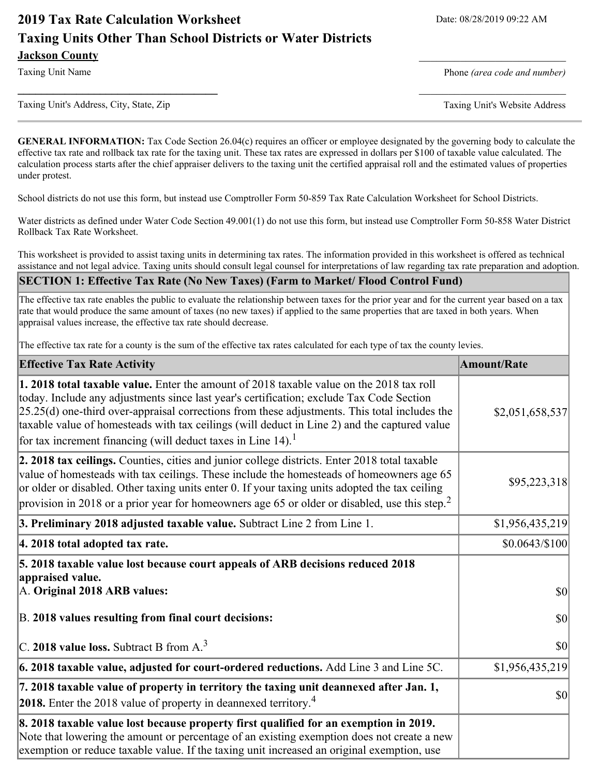# **2019 Tax Rate Calculation Worksheet** Date: 08/28/2019 09:22 AM **Taxing Units Other Than School Districts or Water Districts Jackson County**

Taxing Unit Name **Phone** *(area code and number)* Phone *(area code and number)* 

Taxing Unit's Address, City, State, Zip Taxing Unit's Website Address

**GENERAL INFORMATION:** Tax Code Section 26.04(c) requires an officer or employee designated by the governing body to calculate the effective tax rate and rollback tax rate for the taxing unit. These tax rates are expressed in dollars per \$100 of taxable value calculated. The calculation process starts after the chief appraiser delivers to the taxing unit the certified appraisal roll and the estimated values of properties under protest.

**\_\_\_\_\_\_\_\_\_\_\_\_\_\_\_\_\_\_\_\_\_\_\_\_\_\_\_\_\_\_\_\_\_\_** \_\_\_\_\_\_\_\_\_\_\_\_\_\_\_\_\_\_\_\_\_\_\_\_\_

School districts do not use this form, but instead use Comptroller Form 50-859 Tax Rate Calculation Worksheet for School Districts.

Water districts as defined under Water Code Section 49.001(1) do not use this form, but instead use Comptroller Form 50-858 Water District Rollback Tax Rate Worksheet.

This worksheet is provided to assist taxing units in determining tax rates. The information provided in this worksheet is offered as technical assistance and not legal advice. Taxing units should consult legal counsel for interpretations of law regarding tax rate preparation and adoption.

#### **SECTION 1: Effective Tax Rate (No New Taxes) (Farm to Market/ Flood Control Fund)**

The effective tax rate enables the public to evaluate the relationship between taxes for the prior year and for the current year based on a tax rate that would produce the same amount of taxes (no new taxes) if applied to the same properties that are taxed in both years. When appraisal values increase, the effective tax rate should decrease.

The effective tax rate for a county is the sum of the effective tax rates calculated for each type of tax the county levies.

| <b>Effective Tax Rate Activity</b>                                                                                                                                                                                                                                                                                                                                                                                                                                          | <b>Amount/Rate</b> |
|-----------------------------------------------------------------------------------------------------------------------------------------------------------------------------------------------------------------------------------------------------------------------------------------------------------------------------------------------------------------------------------------------------------------------------------------------------------------------------|--------------------|
| <b>1. 2018 total taxable value.</b> Enter the amount of 2018 taxable value on the 2018 tax roll<br>today. Include any adjustments since last year's certification; exclude Tax Code Section<br>$[25.25(d)$ one-third over-appraisal corrections from these adjustments. This total includes the<br>taxable value of homesteads with tax ceilings (will deduct in Line 2) and the captured value<br>for tax increment financing (will deduct taxes in Line 14). <sup>1</sup> | \$2,051,658,537    |
| 2. 2018 tax ceilings. Counties, cities and junior college districts. Enter 2018 total taxable<br>value of homesteads with tax ceilings. These include the homesteads of homeowners age 65<br>or older or disabled. Other taxing units enter 0. If your taxing units adopted the tax ceiling<br>provision in 2018 or a prior year for homeowners age 65 or older or disabled, use this step. <sup>2</sup>                                                                    | \$95,223,318       |
| 3. Preliminary 2018 adjusted taxable value. Subtract Line 2 from Line 1.                                                                                                                                                                                                                                                                                                                                                                                                    | \$1,956,435,219    |
| 4. 2018 total adopted tax rate.                                                                                                                                                                                                                                                                                                                                                                                                                                             | \$0.0643/\$100]    |
| 5. 2018 taxable value lost because court appeals of ARB decisions reduced 2018<br>appraised value.<br>A. Original 2018 ARB values:                                                                                                                                                                                                                                                                                                                                          | $ 10\rangle$       |
| B. 2018 values resulting from final court decisions:                                                                                                                                                                                                                                                                                                                                                                                                                        | $ 10\rangle$       |
| C. 2018 value loss. Subtract B from A. <sup>3</sup>                                                                                                                                                                                                                                                                                                                                                                                                                         | $ 10\rangle$       |
| 6. 2018 taxable value, adjusted for court-ordered reductions. Add Line 3 and Line 5C.                                                                                                                                                                                                                                                                                                                                                                                       | \$1,956,435,219    |
| 7. 2018 taxable value of property in territory the taxing unit deannexed after Jan. 1,<br><b>2018.</b> Enter the 2018 value of property in deannexed territory. <sup>4</sup>                                                                                                                                                                                                                                                                                                | $ 10\rangle$       |
| 8. 2018 taxable value lost because property first qualified for an exemption in 2019.<br>Note that lowering the amount or percentage of an existing exemption does not create a new<br>exemption or reduce taxable value. If the taxing unit increased an original exemption, use                                                                                                                                                                                           |                    |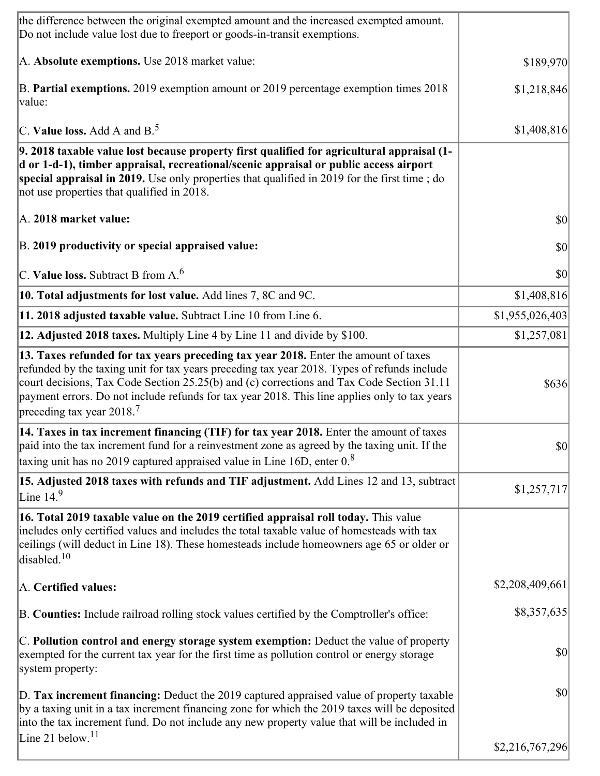| the difference between the original exempted amount and the increased exempted amount.<br>Do not include value lost due to freeport or goods-in-transit exemptions.                                                                                                                                                                                                                                                        |                 |
|----------------------------------------------------------------------------------------------------------------------------------------------------------------------------------------------------------------------------------------------------------------------------------------------------------------------------------------------------------------------------------------------------------------------------|-----------------|
| A. Absolute exemptions. Use 2018 market value:                                                                                                                                                                                                                                                                                                                                                                             | \$189,970       |
| B. Partial exemptions. 2019 exemption amount or 2019 percentage exemption times 2018<br>value:                                                                                                                                                                                                                                                                                                                             | \$1,218,846     |
| C. Value loss. Add A and $B^5$ .                                                                                                                                                                                                                                                                                                                                                                                           | \$1,408,816     |
| 9. 2018 taxable value lost because property first qualified for agricultural appraisal (1-<br>d or 1-d-1), timber appraisal, recreational/scenic appraisal or public access airport<br>special appraisal in 2019. Use only properties that qualified in 2019 for the first time; do<br>not use properties that qualified in 2018.                                                                                          |                 |
| A. 2018 market value:                                                                                                                                                                                                                                                                                                                                                                                                      | 30              |
| B. 2019 productivity or special appraised value:                                                                                                                                                                                                                                                                                                                                                                           | \$0             |
| C. Value loss. Subtract B from $A6$                                                                                                                                                                                                                                                                                                                                                                                        | $ 10\rangle$    |
| 10. Total adjustments for lost value. Add lines 7, 8C and 9C.                                                                                                                                                                                                                                                                                                                                                              | \$1,408,816     |
| 11. 2018 adjusted taxable value. Subtract Line 10 from Line 6.                                                                                                                                                                                                                                                                                                                                                             | \$1,955,026,403 |
| 12. Adjusted 2018 taxes. Multiply Line 4 by Line 11 and divide by \$100.                                                                                                                                                                                                                                                                                                                                                   | \$1,257,081     |
| 13. Taxes refunded for tax years preceding tax year 2018. Enter the amount of taxes<br>refunded by the taxing unit for tax years preceding tax year 2018. Types of refunds include<br>court decisions, Tax Code Section 25.25(b) and (c) corrections and Tax Code Section 31.11<br>payment errors. Do not include refunds for tax year 2018. This line applies only to tax years<br>preceding tax year $2018$ <sup>7</sup> | \$636           |
| 14. Taxes in tax increment financing (TIF) for tax year 2018. Enter the amount of taxes<br>paid into the tax increment fund for a reinvestment zone as agreed by the taxing unit. If the<br>taxing unit has no 2019 captured appraised value in Line 16D, enter $08$                                                                                                                                                       | $\vert$ \$0     |
| 15. Adjusted 2018 taxes with refunds and TIF adjustment. Add Lines 12 and 13, subtract<br>Line $149$                                                                                                                                                                                                                                                                                                                       | \$1,257,717     |
| 16. Total 2019 taxable value on the 2019 certified appraisal roll today. This value<br>includes only certified values and includes the total taxable value of homesteads with tax<br>ceilings (will deduct in Line 18). These homesteads include homeowners age 65 or older or<br>disabled. <sup>10</sup>                                                                                                                  |                 |
| A. Certified values:                                                                                                                                                                                                                                                                                                                                                                                                       | \$2,208,409,661 |
| B. Counties: Include railroad rolling stock values certified by the Comptroller's office:                                                                                                                                                                                                                                                                                                                                  | \$8,357,635     |
| C. Pollution control and energy storage system exemption: Deduct the value of property<br>exempted for the current tax year for the first time as pollution control or energy storage<br>system property:                                                                                                                                                                                                                  | \$0             |
| D. Tax increment financing: Deduct the 2019 captured appraised value of property taxable<br>by a taxing unit in a tax increment financing zone for which the 2019 taxes will be deposited<br>into the tax increment fund. Do not include any new property value that will be included in                                                                                                                                   | \$0             |
| Line 21 below. $11$                                                                                                                                                                                                                                                                                                                                                                                                        | \$2,216,767,296 |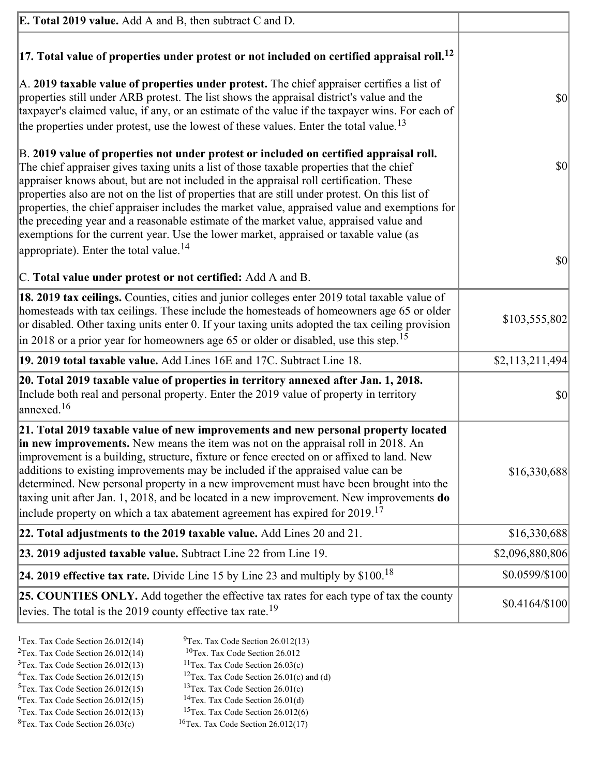| <b>E. Total 2019 value.</b> Add A and B, then subtract C and D.                                                                                                                                                                                                                                                                                                                                                                                                                                                                                                                                                                                                    |                                     |
|--------------------------------------------------------------------------------------------------------------------------------------------------------------------------------------------------------------------------------------------------------------------------------------------------------------------------------------------------------------------------------------------------------------------------------------------------------------------------------------------------------------------------------------------------------------------------------------------------------------------------------------------------------------------|-------------------------------------|
| $ 17$ . Total value of properties under protest or not included on certified appraisal roll. <sup>12</sup>                                                                                                                                                                                                                                                                                                                                                                                                                                                                                                                                                         |                                     |
| A. 2019 taxable value of properties under protest. The chief appraiser certifies a list of<br>properties still under ARB protest. The list shows the appraisal district's value and the<br>taxpayer's claimed value, if any, or an estimate of the value if the taxpayer wins. For each of<br>the properties under protest, use the lowest of these values. Enter the total value. <sup>13</sup>                                                                                                                                                                                                                                                                   | \$0                                 |
| B. 2019 value of properties not under protest or included on certified appraisal roll.<br>The chief appraiser gives taxing units a list of those taxable properties that the chief<br>appraiser knows about, but are not included in the appraisal roll certification. These<br>properties also are not on the list of properties that are still under protest. On this list of<br>properties, the chief appraiser includes the market value, appraised value and exemptions for<br>the preceding year and a reasonable estimate of the market value, appraised value and<br>exemptions for the current year. Use the lower market, appraised or taxable value (as | $\vert \mathbf{S} \mathbf{0} \vert$ |
| appropriate). Enter the total value. <sup>14</sup>                                                                                                                                                                                                                                                                                                                                                                                                                                                                                                                                                                                                                 | \$0                                 |
| C. Total value under protest or not certified: Add A and B.                                                                                                                                                                                                                                                                                                                                                                                                                                                                                                                                                                                                        |                                     |
| 18. 2019 tax ceilings. Counties, cities and junior colleges enter 2019 total taxable value of<br>homesteads with tax ceilings. These include the homesteads of homeowners age 65 or older<br>or disabled. Other taxing units enter 0. If your taxing units adopted the tax ceiling provision<br>$\vert$ in 2018 or a prior year for homeowners age 65 or older or disabled, use this step. <sup>15</sup>                                                                                                                                                                                                                                                           | \$103,555,802                       |
| 19. 2019 total taxable value. Add Lines 16E and 17C. Subtract Line 18.                                                                                                                                                                                                                                                                                                                                                                                                                                                                                                                                                                                             | \$2,113,211,494                     |
| 20. Total 2019 taxable value of properties in territory annexed after Jan. 1, 2018.<br>Include both real and personal property. Enter the 2019 value of property in territory<br>$\alpha$ annexed. <sup>16</sup>                                                                                                                                                                                                                                                                                                                                                                                                                                                   | \$0                                 |
| 21. Total 2019 taxable value of new improvements and new personal property located<br>in new improvements. New means the item was not on the appraisal roll in 2018. An<br>improvement is a building, structure, fixture or fence erected on or affixed to land. New<br>additions to existing improvements may be included if the appraised value can be<br>determined. New personal property in a new improvement must have been brought into the<br>taxing unit after Jan. 1, 2018, and be located in a new improvement. New improvements do<br>include property on which a tax abatement agreement has expired for $2019$ . <sup>17</sup>                       | \$16,330,688                        |
| 22. Total adjustments to the 2019 taxable value. Add Lines 20 and 21.                                                                                                                                                                                                                                                                                                                                                                                                                                                                                                                                                                                              | \$16,330,688                        |
| 23. 2019 adjusted taxable value. Subtract Line 22 from Line 19.                                                                                                                                                                                                                                                                                                                                                                                                                                                                                                                                                                                                    | \$2,096,880,806                     |
| 24. 2019 effective tax rate. Divide Line 15 by Line 23 and multiply by $$100.18$                                                                                                                                                                                                                                                                                                                                                                                                                                                                                                                                                                                   | \$0.0599/\$100                      |
| 25. COUNTIES ONLY. Add together the effective tax rates for each type of tax the county<br>levies. The total is the 2019 county effective tax rate. <sup>19</sup>                                                                                                                                                                                                                                                                                                                                                                                                                                                                                                  | $$0.4164/\$100$                     |
|                                                                                                                                                                                                                                                                                                                                                                                                                                                                                                                                                                                                                                                                    |                                     |

- <sup>2</sup>Tex. Tax Code Section 26.012(14)<br><sup>3</sup>Tex. Tax Code Section 26.012(13)
- <sup>1</sup>Tex. Tax Code Section 26.012(14) <sup>9</sup>Tex. Tax Code Section 26.012(13) <sup>9</sup>Tex. Tax Code Section 26.012
	-
- <sup>3</sup>Tex. Tax Code Section 26.012(13) <sup>11</sup>Tex. Tax Code Section 26.03(c) <sup>4</sup>Tex. Tax Code Section 26.01(c)
- <sup>4</sup>Tex. Tax Code Section 26.012(15) <sup>12</sup>Tex. Tax Code Section 26.01(c) and (d)<br><sup>5</sup>Tex. Tax Code Section 26.012(15) <sup>13</sup>Tex. Tax Code Section 26.01(c) <sup>13</sup>Tex. Tax Code Section 26.01(c) <sup>14</sup>Tex. Tax Code Section 26.01(d)
	-
- <sup>6</sup>Tex. Tax Code Section 26.012(15)<br><sup>7</sup>Tex. Tax Code Section 26.012(13)
- -
- 
- <sup>7</sup>Tex. Tax Code Section 26.012(13) <sup>15</sup>Tex. Tax Code Section 26.012(6)<br><sup>8</sup>Tex. Tax Code Section 26.03(c) <sup>16</sup>Tex. Tax Code Section 26.012(17)  $16$ Tex. Tax Code Section 26.012(17)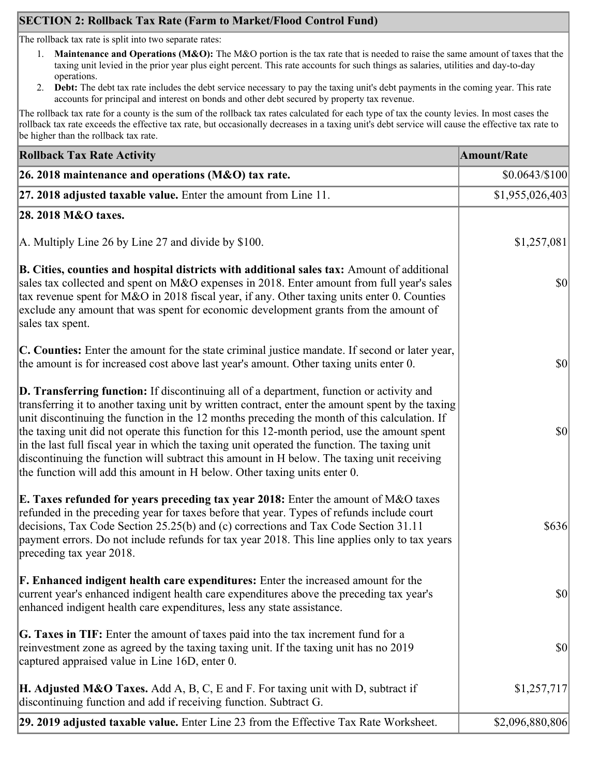# **SECTION 2: Rollback Tax Rate (Farm to Market/Flood Control Fund)**

The rollback tax rate is split into two separate rates:

- 1. **Maintenance and Operations (M&O):** The M&O portion is the tax rate that is needed to raise the same amount of taxes that the taxing unit levied in the prior year plus eight percent. This rate accounts for such things as salaries, utilities and day-to-day operations.
- 2. **Debt:** The debt tax rate includes the debt service necessary to pay the taxing unit's debt payments in the coming year. This rate accounts for principal and interest on bonds and other debt secured by property tax revenue.

The rollback tax rate for a county is the sum of the rollback tax rates calculated for each type of tax the county levies. In most cases the rollback tax rate exceeds the effective tax rate, but occasionally decreases in a taxing unit's debt service will cause the effective tax rate to be higher than the rollback tax rate.

| <b>Rollback Tax Rate Activity</b>                                                                                                                                                                                                                                                                                                                                                                                                                                                                                                                                                                                                                                       | <b>Amount/Rate</b> |
|-------------------------------------------------------------------------------------------------------------------------------------------------------------------------------------------------------------------------------------------------------------------------------------------------------------------------------------------------------------------------------------------------------------------------------------------------------------------------------------------------------------------------------------------------------------------------------------------------------------------------------------------------------------------------|--------------------|
| 26. 2018 maintenance and operations ( $M&O$ ) tax rate.                                                                                                                                                                                                                                                                                                                                                                                                                                                                                                                                                                                                                 | \$0.0643/\$100]    |
| 27. 2018 adjusted taxable value. Enter the amount from Line 11.                                                                                                                                                                                                                                                                                                                                                                                                                                                                                                                                                                                                         | \$1,955,026,403    |
| 28. 2018 M&O taxes.                                                                                                                                                                                                                                                                                                                                                                                                                                                                                                                                                                                                                                                     |                    |
| A. Multiply Line 26 by Line 27 and divide by \$100.                                                                                                                                                                                                                                                                                                                                                                                                                                                                                                                                                                                                                     | \$1,257,081        |
| B. Cities, counties and hospital districts with additional sales tax: Amount of additional<br>sales tax collected and spent on M&O expenses in 2018. Enter amount from full year's sales<br>tax revenue spent for M&O in 2018 fiscal year, if any. Other taxing units enter 0. Counties<br>exclude any amount that was spent for economic development grants from the amount of<br>sales tax spent.                                                                                                                                                                                                                                                                     | $ 10\rangle$       |
| C. Counties: Enter the amount for the state criminal justice mandate. If second or later year,<br>the amount is for increased cost above last year's amount. Other taxing units enter 0.                                                                                                                                                                                                                                                                                                                                                                                                                                                                                | $ 10\rangle$       |
| D. Transferring function: If discontinuing all of a department, function or activity and<br>transferring it to another taxing unit by written contract, enter the amount spent by the taxing<br>unit discontinuing the function in the 12 months preceding the month of this calculation. If<br>the taxing unit did not operate this function for this 12-month period, use the amount spent<br>in the last full fiscal year in which the taxing unit operated the function. The taxing unit<br>discontinuing the function will subtract this amount in H below. The taxing unit receiving<br>the function will add this amount in H below. Other taxing units enter 0. | $ 10\rangle$       |
| E. Taxes refunded for years preceding tax year 2018: Enter the amount of M&O taxes<br>refunded in the preceding year for taxes before that year. Types of refunds include court<br>decisions, Tax Code Section 25.25(b) and (c) corrections and Tax Code Section 31.11<br>payment errors. Do not include refunds for tax year 2018. This line applies only to tax years<br>preceding tax year 2018.                                                                                                                                                                                                                                                                     | \$636              |
| <b>F. Enhanced indigent health care expenditures:</b> Enter the increased amount for the<br>current year's enhanced indigent health care expenditures above the preceding tax year's<br>enhanced indigent health care expenditures, less any state assistance.                                                                                                                                                                                                                                                                                                                                                                                                          | $ 10\rangle$       |
| G. Taxes in TIF: Enter the amount of taxes paid into the tax increment fund for a<br>reinvestment zone as agreed by the taxing taxing unit. If the taxing unit has no 2019<br>captured appraised value in Line 16D, enter 0.                                                                                                                                                                                                                                                                                                                                                                                                                                            | $ 10\rangle$       |
| <b>H. Adjusted M&amp;O Taxes.</b> Add A, B, C, E and F. For taxing unit with D, subtract if<br>discontinuing function and add if receiving function. Subtract G.                                                                                                                                                                                                                                                                                                                                                                                                                                                                                                        | \$1,257,717        |
| 29. 2019 adjusted taxable value. Enter Line 23 from the Effective Tax Rate Worksheet.                                                                                                                                                                                                                                                                                                                                                                                                                                                                                                                                                                                   | \$2,096,880,806    |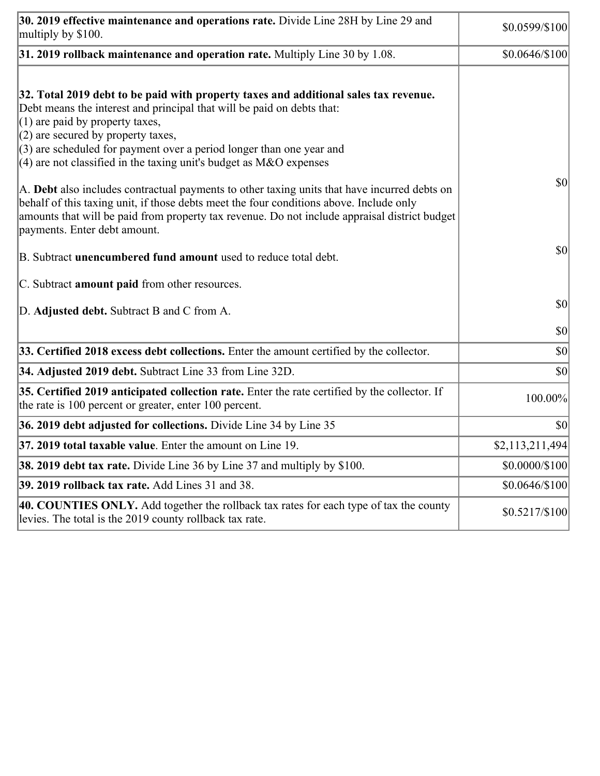| 30. 2019 effective maintenance and operations rate. Divide Line 28H by Line 29 and<br>multiply by \$100.                                                                                                                                                                                                                                                                                      | $$0.0599/\$100$      |
|-----------------------------------------------------------------------------------------------------------------------------------------------------------------------------------------------------------------------------------------------------------------------------------------------------------------------------------------------------------------------------------------------|----------------------|
| $31.2019$ rollback maintenance and operation rate. Multiply Line 30 by 1.08.                                                                                                                                                                                                                                                                                                                  | $$0.0646/\$100$      |
| 32. Total 2019 debt to be paid with property taxes and additional sales tax revenue.<br>Debt means the interest and principal that will be paid on debts that:<br>$(1)$ are paid by property taxes,<br>$(2)$ are secured by property taxes,<br>$(3)$ are scheduled for payment over a period longer than one year and<br>$(4)$ are not classified in the taxing unit's budget as M&O expenses |                      |
| A. Debt also includes contractual payments to other taxing units that have incurred debts on<br>behalf of this taxing unit, if those debts meet the four conditions above. Include only<br>amounts that will be paid from property tax revenue. Do not include appraisal district budget<br>payments. Enter debt amount.                                                                      | $ 10\rangle$         |
| B. Subtract unencumbered fund amount used to reduce total debt.                                                                                                                                                                                                                                                                                                                               | $ 10\rangle$         |
| C. Subtract <b>amount paid</b> from other resources.                                                                                                                                                                                                                                                                                                                                          |                      |
| D. Adjusted debt. Subtract B and C from A.                                                                                                                                                                                                                                                                                                                                                    | $ 10\rangle$         |
|                                                                                                                                                                                                                                                                                                                                                                                               | $ 10\rangle$         |
| 33. Certified 2018 excess debt collections. Enter the amount certified by the collector.                                                                                                                                                                                                                                                                                                      | $ 10\rangle$         |
| 34. Adjusted 2019 debt. Subtract Line 33 from Line 32D.                                                                                                                                                                                                                                                                                                                                       | \$0                  |
| 35. Certified 2019 anticipated collection rate. Enter the rate certified by the collector. If<br>the rate is 100 percent or greater, enter 100 percent.                                                                                                                                                                                                                                       | 100.00%              |
| 36. 2019 debt adjusted for collections. Divide Line 34 by Line 35                                                                                                                                                                                                                                                                                                                             | $ 10\rangle$         |
| 37. 2019 total taxable value. Enter the amount on Line 19.                                                                                                                                                                                                                                                                                                                                    | \$2,113,211,494      |
| <b>38. 2019 debt tax rate.</b> Divide Line 36 by Line 37 and multiply by \$100.                                                                                                                                                                                                                                                                                                               | $$0.0000 \times 100$ |
| 39. 2019 rollback tax rate. Add Lines 31 and 38.                                                                                                                                                                                                                                                                                                                                              | $$0.0646/\$100$      |
| 40. COUNTIES ONLY. Add together the rollback tax rates for each type of tax the county<br>levies. The total is the 2019 county rollback tax rate.                                                                                                                                                                                                                                             | $$0.5217/\$100$      |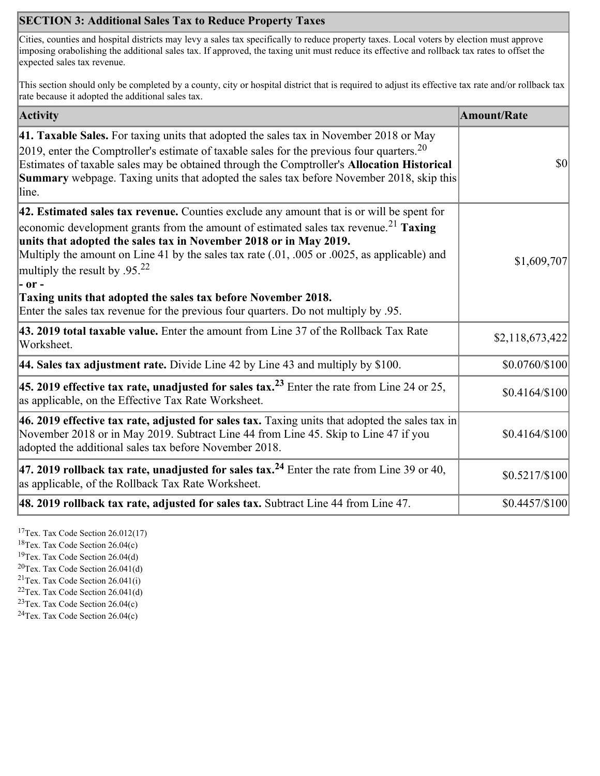## **SECTION 3: Additional Sales Tax to Reduce Property Taxes**

Cities, counties and hospital districts may levy a sales tax specifically to reduce property taxes. Local voters by election must approve imposing orabolishing the additional sales tax. If approved, the taxing unit must reduce its effective and rollback tax rates to offset the expected sales tax revenue.

This section should only be completed by a county, city or hospital district that is required to adjust its effective tax rate and/or rollback tax rate because it adopted the additional sales tax.

| <b>Activity</b>                                                                                                                                                                                                                                                                                                                                                                                                                | <b>Amount/Rate</b> |
|--------------------------------------------------------------------------------------------------------------------------------------------------------------------------------------------------------------------------------------------------------------------------------------------------------------------------------------------------------------------------------------------------------------------------------|--------------------|
| 41. Taxable Sales. For taxing units that adopted the sales tax in November 2018 or May<br>2019, enter the Comptroller's estimate of taxable sales for the previous four quarters. $20$<br>Estimates of taxable sales may be obtained through the Comptroller's Allocation Historical<br><b>Summary</b> webpage. Taxing units that adopted the sales tax before November 2018, skip this<br>line.                               | \$0                |
| 42. Estimated sales tax revenue. Counties exclude any amount that is or will be spent for<br>economic development grants from the amount of estimated sales tax revenue. <sup>21</sup> Taxing<br>units that adopted the sales tax in November 2018 or in May 2019.<br>Multiply the amount on Line 41 by the sales tax rate (.01, .005 or .0025, as applicable) and<br>multiply the result by .95. <sup>22</sup><br>$ -$ or $-$ | \$1,609,707        |
| Taxing units that adopted the sales tax before November 2018.<br>Enter the sales tax revenue for the previous four quarters. Do not multiply by .95.                                                                                                                                                                                                                                                                           |                    |
| 43. 2019 total taxable value. Enter the amount from Line 37 of the Rollback Tax Rate<br>Worksheet.                                                                                                                                                                                                                                                                                                                             | \$2,118,673,422    |
| 44. Sales tax adjustment rate. Divide Line 42 by Line 43 and multiply by $$100$ .                                                                                                                                                                                                                                                                                                                                              | \$0.0760/\$100     |
| 45. 2019 effective tax rate, unadjusted for sales tax. <sup>23</sup> Enter the rate from Line 24 or 25,<br>as applicable, on the Effective Tax Rate Worksheet.                                                                                                                                                                                                                                                                 | $$0.4164/\$100$    |
| 46. 2019 effective tax rate, adjusted for sales tax. Taxing units that adopted the sales tax in<br>November 2018 or in May 2019. Subtract Line 44 from Line 45. Skip to Line 47 if you<br>adopted the additional sales tax before November 2018.                                                                                                                                                                               | $$0.4164/\$100$    |
| 47. 2019 rollback tax rate, unadjusted for sales tax. <sup>24</sup> Enter the rate from Line 39 or 40,<br>as applicable, of the Rollback Tax Rate Worksheet.                                                                                                                                                                                                                                                                   | \$0.5217/\$100     |
| 48. 2019 rollback tax rate, adjusted for sales tax. Subtract Line 44 from Line 47.                                                                                                                                                                                                                                                                                                                                             | \$0.4457/\$100     |

<sup>17</sup>Tex. Tax Code Section 26.012(17)

<sup>18</sup>Tex. Tax Code Section 26.04(c)

<sup>19</sup>Tex. Tax Code Section 26.04(d)

 ${}^{20}$ Tex. Tax Code Section 26.041(d)

<sup>21</sup>Tex. Tax Code Section  $26.041(i)$ 

 $22$ Tex. Tax Code Section 26.041(d)

 $23$ Tex. Tax Code Section 26.04(c) <sup>24</sup>Tex. Tax Code Section  $26.04(c)$